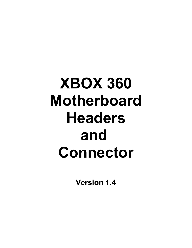# **XBOX 360 Motherboard Headers and Connector**

**Version 1.4**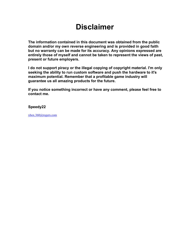### **Disclaimer**

**The information contained in this document was obtained from the public domain and/or my own reverse engineering and is provided in good faith but no warranty can be made for its accuracy. Any opinions expressed are entirely those of myself and cannot be taken to represent the views of past, present or future employers.** 

**I do not support piracy or the illegal copying of copyright material. I'm only seeking the ability to run custom software and push the hardware to it's maximum potential. Remember that a profitable game industry will guarantee us all amazing products for the future.**

**If you notice something incorrect or have any comment, please feel free to contact me.**

#### **Speedy22**

[xbox.360@rogers.com](mailto:xbox.360@rogers.com)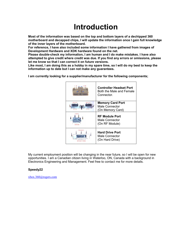### **Introduction**

**Most of the information was based on the top and bottom layers of a dechipped 360 motherboard and decapped chips, I will update the information once I gain full knowledge of the inner layers of the motherboard.**

**For reference, I have also included some information I have gathered from images of Development Hardware and XDK hardware found on the net.** 

**Please double-check my information, I am human and I do make mistakes. I have also attempted to give credit where credit was due. If you find any errors or omissions, please let me know so that I can correct it on future versions.** 

**Like most, I am doing this as a hobby in my spare time, so I will do my best to keep the information up to date but I can not make any guarantees.**

**I am currently looking for a supplier/manufacturer for the following components;**



My current employment position will be changing in the near future, so I will be open for new opportunities. I am a Canadian citizen living in Waterloo, ON, Canada with a background in Electronics Engineering and Management. Feel free to contact me for more details.

#### **Speedy22**

[xbox.360@rogers.com](mailto:xbox.360@rogers.com)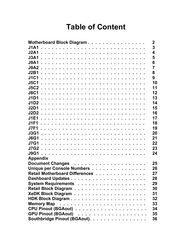### **Table of Content**

| Motherboard Block Diagram      | $\mathbf 2$             |
|--------------------------------|-------------------------|
| <b>J1A1</b>                    | 3                       |
|                                | $\overline{\mathbf{4}}$ |
|                                | 5                       |
| <b>J9A1</b>                    | 6                       |
|                                | $\overline{7}$          |
|                                | 8                       |
| <b>J1C1</b>                    | 9                       |
|                                | 10                      |
|                                | 11                      |
|                                | 12                      |
|                                | 13                      |
|                                | 14                      |
| <b>J2D1</b>                    | 15                      |
|                                | 16                      |
|                                | 17                      |
|                                | 18                      |
|                                | 19                      |
|                                | 20                      |
|                                | 21                      |
|                                | 22                      |
|                                | 23                      |
|                                | 24                      |
| <b>Appendix</b>                |                         |
|                                | 25                      |
| Unique per Console Numbers     | 26                      |
| Retail Motherboard Differences | 27                      |
|                                | 28                      |
|                                | 29                      |
|                                | 30                      |
|                                | 31                      |
|                                | 32                      |
|                                | 33                      |
|                                | 34                      |
|                                | 35                      |
| Southbridge Pinout (BGAout).   | 36                      |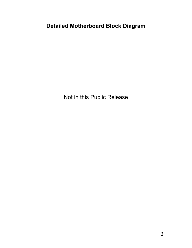**Detailed Motherboard Block Diagram**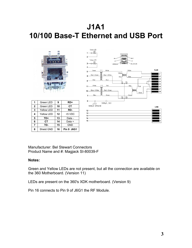### **J1A1 10/100 Base-T Ethernet and USB Port**



|                         | Green LED         | 9  | RD+               |  |
|-------------------------|-------------------|----|-------------------|--|
| $\mathbf{2}$            | Green LED         | 10 | CТ                |  |
| 3                       | <b>Yellow LED</b> | 11 | RD-               |  |
| $\overline{\mathbf{4}}$ | Yellow LED        | 12 | $+5$ VDC          |  |
| 5                       | TD+               | 13 | Data -            |  |
| 6                       | СT                | 14 | Data +            |  |
| 7                       | TD-               | 15 | <b>GND</b>        |  |
| 8                       | Shield GND        | 16 | <b>Pin 9 J6G1</b> |  |



Manufacturer: Bel Stewart Connectors Product Name and #: Magjack SI-80039-F

#### **Notes:**

Green and Yellow LEDs are not present, but all the connection are available on the 360 Motherboard. (Version 11)

LEDs are present on the 360's XDK motherboard. (Version 9)

Pin 16 connects to Pin 9 of J6G1 the RF Module.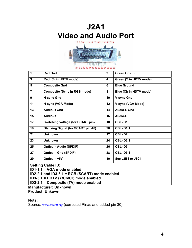



| 1              | <b>Red Gnd</b>                            | $\mathbf{2}$ | <b>Green Ground</b>    |
|----------------|-------------------------------------------|--------------|------------------------|
| 3              | Red (Cr in HDTV mode)                     | 4            | Green (Y in HDTV mode) |
| 5              | <b>Composite Gnd</b>                      | 6            | <b>Blue Ground</b>     |
| $\overline{7}$ | <b>Composite (Sync in RGB mode)</b>       | 8            | Blue (Cb in HDTV mode) |
| 9              | <b>H-sync Gnd</b>                         | 10           | <b>V-sync Gnd</b>      |
| 11             | H-sync (VGA Mode)                         | 12           | V-sync (VGA Mode)      |
| 13             | <b>Audio-R Gnd</b>                        | 14           | <b>Audio-L Gnd</b>     |
| 15             | Audio-R                                   | 16           | Audio-L                |
| 17             | Switching voltage (for SCART pin-8)       | 18           | <b>CBL-ID1</b>         |
| 19             | <b>Blanking Signal (for SCART pin-16)</b> | 20           | <b>CBL-ID1.1</b>       |
| 21             | <b>Unknown</b>                            | 22           | <b>CBL-ID2</b>         |
| 23             | <b>Unknown</b>                            | 24           | <b>CBL-ID2.1</b>       |
| 25             | <b>Optical - Audio (SPDIF)</b>            | 26           | CBL-ID3                |
| 27             | <b>Optical - Gnd (SPDIF)</b>              | 28           | <b>CBL-ID3.1</b>       |
| 29             | Optical - +5V                             | 30           | See J2B1 or J8C1       |
|                |                                           |              |                        |

**Setting Cable ID:** 

**ID1-1.1 = VGA mode enabled** 

**ID2-2.1 and ID3-3.1 = RGB (SCART) mode enabled** 

**ID3-3.1 = HDTV (Y/Cb/Cr) mode enabled** 

**ID2-2.1 = Composite (TV) mode enabled**

**Manufacturer: Unknown Product: Unkown**

**Note:**

Source: [www.free60.org](http://www.free60.org/) (corrected Pin#s and added pin 30)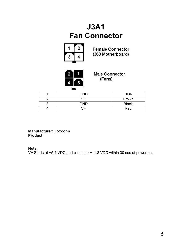### **J3A1 Fan Connector**



**Female Connector** (360 Motherboard)



**Male Connector** (Fans)

| <b>GND</b> | <b>Blue</b>  |
|------------|--------------|
| 4          | <b>Brown</b> |
| GND        | <b>Black</b> |
| $+$        | Red          |

**Manufacturer: Foxconn Product:**

#### **Note:**

V+ Starts at +5.4 VDC and climbs to +11.8 VDC within 30 sec of power on.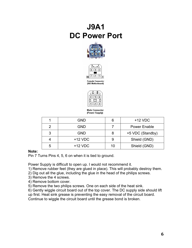### **J9A1 DC Power Port**





**Female Connector** (360 Motherboard)



**Male Connector** (Power Supply)

|   | <b>GND</b> |    | $+12$ VDC           |
|---|------------|----|---------------------|
| 2 | <b>GND</b> |    | <b>Power Enable</b> |
| 3 | <b>GND</b> |    | +5 VDC (Standby)    |
|   | $+12$ VDC  |    | Shield (GND)        |
| 5 | $+12$ VDC  | 10 | Shield (GND)        |

#### **Note:**

Pin 7 Turns Pins 4, 5, 6 on when it is tied to ground.

Power Supply is difficult to open up. I would not recommend it.

1) Remove rubber feet (they are glued in place). This will probably destroy them.

- 2) Dig out all the glue, including the glue in the head of the philips screws.
- 3) Remove the 4 screws.
- 4) Remove bottom cover.
- 5) Remove the two philips screws. One on each side of the heat sink.

6) Gently wiggle circuit board out of the top cover. The DC supply side should lift

up first. Heat sink grease is preventing the easy removal of the circuit board. Continue to wiggle the circuit board until the grease bond is broken.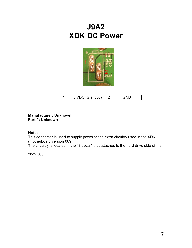### **J9A2 XDK DC Power**



| +5 VDC (Standby) |  |
|------------------|--|

#### **Manufacturer: Unknown Part #: Unknown**

#### **Note:**

This connector is used to supply power to the extra circuitry used in the XDK (motherboard version 009).

The circuitry is located in the "Sidecar" that attaches to the hard drive side of the

xbox 360.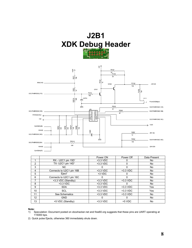### **J2B1 XDK Debug Header**





|                   |                          | Power ON   | Power Off  | Data Present |
|-------------------|--------------------------|------------|------------|--------------|
|                   | $RX - U2C1$ pin $15D1$   | $+3.3$ VDC |            | No           |
| 2                 | TX- U2C1 pin $14D1$      | $+3.3$ VDC |            | No.          |
| 3                 | NC.                      | 0          | 0          | No           |
| 4                 | Connects to U2C1 pin 16B | $+3.3$ VDC | $+3.3$ VDC | No.          |
| 5                 | Eiect <sup>2</sup>       | +3 VDC     |            | No.          |
| 6                 | Connects to U2C1 pin 16C | 0          | 0          | No           |
| 7                 | +3.3 VDC (Standby)       | $+3.3$ VDC | $+3.3$ VDC | No.          |
| 8                 | $+3.3$ VDC               | $+3.3$ VDC |            | No.          |
| 9                 | <b>SDA</b>               | $+3.3$ VDC | $+3.3$ VDC | Yes          |
| 10                | <b>SCL</b>               | $+3.3$ VDC | $+3.3$ VDC | Yes          |
| 11                | See Schematics           | $+3.3$ VDC | $+3.3$ VDC | No           |
| $12 \overline{ }$ | <b>GND</b>               | 0          | Ω          | No.          |
| 13                | +5 VDC (Standby)         | $+3.3$ VDC | $+5$ VDC   | No.          |

#### **Note:**

- 1) Speculation: Document posted on xboxhacker.net and free60.org suggests that these pins are UART operating at 115000 bps.
- 2) Quick pulse Ejects, otherwise 360 immediately shuts down.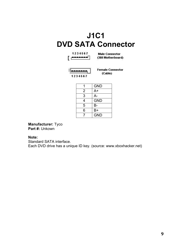### **J1C1 DVD SATA Connector**



**Male Connector** (360 Motherboard)



**Female Connector** (Cable)

|   | <b>GND</b> |
|---|------------|
| 2 | $A+$       |
| 3 | А-         |
| 4 | <b>GND</b> |
| 5 | В-         |
| 6 | $B+$       |
|   | <b>GND</b> |

**Manufacturer:** Tyco **Part #:** Unkown

#### **Note:**

Standard SATA interface. Each DVD drive has a unique ID key. (source: www.xboxhacker.net)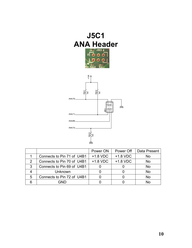

|               |                            | Power ON | Power Off  | Data Present   |
|---------------|----------------------------|----------|------------|----------------|
|               | Connects to Pin 71 of U4B1 | +1.8 VDC | $+1.8$ VDC | No             |
| $\mathcal{P}$ | Connects to Pin 70 of U4B1 | +1.8 VDC | $+1.8$ VDC | N <sub>o</sub> |
| 3             | Connects to Pin 69 of U4B1 |          |            | No             |
|               | Unknown                    |          |            | No             |
| 5             | Connects to Pin 72 of U4B1 |          |            | No             |
|               | GND                        |          |            | N٥             |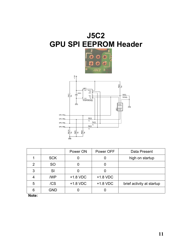### **J5C2 GPU SPI EEPROM Header**





|   |            | Power ON   | Power OFF  | Data Present              |
|---|------------|------------|------------|---------------------------|
|   | <b>SCK</b> |            |            | high on startup           |
| 2 | <b>SO</b>  |            |            |                           |
| 3 | SI         |            |            |                           |
|   | /WP        | $+1.8$ VDC | $+1.8$ VDC |                           |
| 5 | /CS        | $+1.8$ VDC | +1.8 VDC   | brief activity at startup |
| 6 | <b>GND</b> |            |            |                           |

**Note:**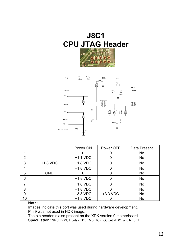## **J8C1 CPU JTAG Header**





|                |            | Power ON   | Power OFF  | Data Present |
|----------------|------------|------------|------------|--------------|
| 1              |            |            |            | No           |
| $\overline{2}$ |            | $+1.1$ VDC |            | <b>No</b>    |
| 3              | $+1.8$ VDC | $+1.8$ VDC | 0          | <b>No</b>    |
| 4              |            | $+1.8$ VDC | O          | No           |
| 5              | <b>GND</b> |            | O          | No           |
| 6              |            | $+1.8$ VDC | 0          | <b>No</b>    |
|                |            | $+1.8$ VDC | 0          | <b>No</b>    |
| 8              |            | $+1.8$ VDC |            | No           |
| 9              |            | $+3.3$ VDC | $+3.3$ VDC | No           |
| 10             |            | $+1.8$ VDC |            | No           |

#### **Note:**

Images indicate this port was used during hardware development. Pin 9 was not used in HDK image.

The pin header is also present on the XDK version 9 motherboard. **Speculation:** GPULDBG, Inputs - TDI, TMS, TCK, Output -TDO, and RESET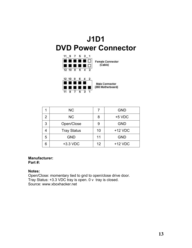### **J1D1 DVD Power Connector**



**Male Connector** (360 Motherboard)

|   | <b>NC</b>          |    | <b>GND</b> |
|---|--------------------|----|------------|
| 2 | <b>NC</b>          | 8  | $+5$ VDC   |
| 3 | Open/Close         | 9  | <b>GND</b> |
|   | <b>Tray Status</b> | 10 | $+12$ VDC  |
| 5 | <b>GND</b>         | 11 | <b>GND</b> |
| հ | +3.3 VDC           | 12 | $+12$ VDC  |

#### **Manufacturer: Part #:**

#### **Notes:**

Open/Close: momentary tied to gnd to open/close drive door. Tray Status: +3.3 VDC tray is open. 0 v tray is closed. Source: www.xboxhacker.net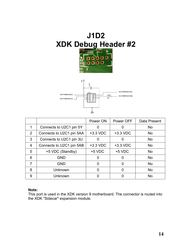



|   |                          | Power ON   | Power OFF  | Data Present |
|---|--------------------------|------------|------------|--------------|
|   | Connects to U2C1 pin 5Y  |            | O          | <b>No</b>    |
| 2 | Connects to U2C1 pin 5AA | $+3.3$ VDC | $+3.3$ VDC | <b>No</b>    |
| 3 | Connects to U2C1 pin 3U  |            |            | <b>No</b>    |
| 4 | Connects to U2C1 pin 5AB | +3.3 VDC   | $+3.3$ VDC | <b>No</b>    |
| 5 | +5 VDC (Standby)         | $+5$ VDC   | $+5$ VDC   | <b>No</b>    |
| 6 | <b>GND</b>               | ∩          | O          | <b>No</b>    |
| 7 | <b>GND</b>               | ∩          | 0          | <b>No</b>    |
| 8 | Unknown                  | 0          | 0          | <b>No</b>    |
| 9 | Unknown                  |            |            | <b>No</b>    |

#### **Note:**

This port is used in the XDK version 9 motherboard. The connector is routed into the XDK "Sidecar" expansion module.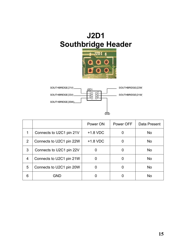### **J2D1 Southbridge Header**





|   |                          | Power ON   | Power OFF | Data Present   |
|---|--------------------------|------------|-----------|----------------|
|   | Connects to U2C1 pin 21V | $+1.8$ VDC |           | N <sub>o</sub> |
| 2 | Connects to U2C1 pin 22W | $+1.8$ VDC |           | No.            |
| 3 | Connects to U2C1 pin 22V |            | 0         | N <sub>o</sub> |
| 4 | Connects to U2C1 pin 21W |            |           | <b>No</b>      |
| 5 | Connects to U2C1 pin 20W |            |           | <b>No</b>      |
| 6 | GND                      |            |           | No             |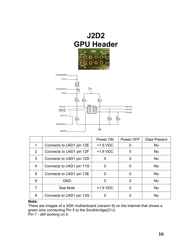



|   |                          | Power ON   | Power OFF | Data Present |
|---|--------------------------|------------|-----------|--------------|
| 1 | Connects to U4D1 pin 12E | $+1.9$ VDC |           | <b>No</b>    |
| 2 | Connects to U4D1 pin 12F | $+1.9$ VDC |           | <b>No</b>    |
| 3 | Connects to U4D1 pin 12D |            |           | <b>No</b>    |
| 4 | Connects to U4D1 pin 11G | 0          |           | <b>No</b>    |
| 5 | Connects to U4D1 pin 13E | 0          |           | <b>No</b>    |
| 6 | <b>GND</b>               | O)         |           | <b>No</b>    |
|   | See Note                 | $+1.9$ VDC |           | <b>No</b>    |
| 8 | Connects to U4D1 pin 13G |            |           | <b>No</b>    |

**Note:**

There are images of a XDK motherboard (version 9) on the Internet that shows a green wire connecting Pin 5 to the Southbridge(21J).

Pin 7 - still working on it.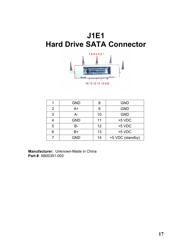### **J1E1 Hard Drive SATA Connector**



|                | <b>GND</b> | 8  | <b>GND</b>       |
|----------------|------------|----|------------------|
| $\overline{2}$ | A+         | 9  | <b>GND</b>       |
| 3              | А-         | 10 | <b>GND</b>       |
|                | <b>GND</b> | 11 | $+5$ VDC         |
| 5              | В-         | 12 | $+5$ VDC         |
| 6              | B+         | 13 | $+5$ VDC         |
|                | <b>GND</b> | 14 | +5 VDC (standby) |

**Manufacturer:** Unknown-Made in China **Part #**: XB00351-002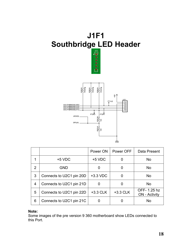

|   |                          | Power ON   | Power OFF  | Data Present                        |
|---|--------------------------|------------|------------|-------------------------------------|
| 1 | $+5$ VDC                 | $+5$ VDC   | O          | <b>No</b>                           |
| 2 | <b>GND</b>               | 0          |            | <b>No</b>                           |
| 3 | Connects to U2C1 pin 20D | $+3.3$ VDC |            | <b>No</b>                           |
| 4 | Connects to U2C1 pin 21D | 0          |            | <b>No</b>                           |
| 5 | Connects to U2C1 pin 22D | $+3.3$ CLK | $+3.3$ CLK | OFF-1.25 hz<br><b>ON</b> - Activity |
| 6 | Connects to U2C1 pin 21C |            |            | <b>No</b>                           |

#### **Note:**

Some images of the pre version 9 360 motherboard show LEDs connected to this Port.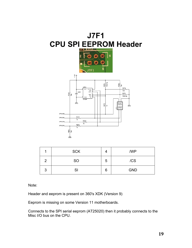

|   | <b>SCK</b> |   | /WP        |
|---|------------|---|------------|
| ာ | <b>SO</b>  | 5 | /CS        |
| 3 | SI         | 6 | <b>GND</b> |

Note:

Header and eeprom is present on 360's XDK (Version 9)

Eeprom is missing on some Version 11 motherboards.

Connects to the SPI serial eeprom (AT25020) then it probably connects to the Misc I/O bus on the CPU.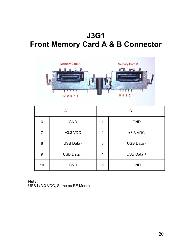### **J3G1 Front Memory Card A & B Connector**



|    | A          |                | B          |
|----|------------|----------------|------------|
| 6  | <b>GND</b> | 1              | <b>GND</b> |
| 7  | +3.3 VDC   | $\overline{2}$ | +3.3 VDC   |
| 8  | USB Data - | 3              | USB Data - |
| 9  | USB Data + | 4              | USB Data + |
| 10 | <b>GND</b> | 5              | <b>GND</b> |

#### **Note:**

USB is 3.3 VDC, Same as RF Module.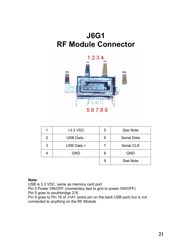### **J6G1 RF Module Connector**



| 1 | $+3.3$ VDC        | 5 | See Note           |
|---|-------------------|---|--------------------|
| 2 | <b>USB Data -</b> | 6 | <b>Serial Data</b> |
| 3 | USB Data +        |   | <b>Serial CLK</b>  |
|   | <b>GND</b>        | 8 | <b>GND</b>         |
|   |                   | 9 | See Note           |

#### **Note:**

USB is 3.3 VDC, same as memory card port

Pin 5 Power ON/OFF (momentary tied to gnd to power ON/OFF) Pin 5 goes to southbridge 21E

Pin 9 goes to Pin 16 of J1A1 (extra pin on the back USB port) but is not connected to anything on the RF Module.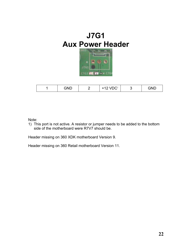

|  | <b>AND</b><br>ᅴ୳ | $\sqrt{2}$<br>$\cdot$ $\sim$<br>$\sim$ |  | $\bigcap$ |
|--|------------------|----------------------------------------|--|-----------|
|--|------------------|----------------------------------------|--|-----------|

Note:

1) This port is not active. A resistor or jumper needs to be added to the bottom side of the motherboard were R7V7 should be.

Header missing on 360 XDK motherboard Version 9.

Header missing on 360 Retail motherboard Version 11.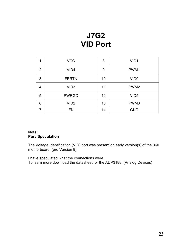### **J7G2 VID Port**

| 1 | <b>VCC</b>       | 8               | VID <sub>1</sub> |
|---|------------------|-----------------|------------------|
| 2 | VID <sub>4</sub> | 9               | PWM1             |
| 3 | <b>FBRTN</b>     | 10              | VID <sub>0</sub> |
| 4 | VID <sub>3</sub> | 11              | PWM <sub>2</sub> |
| 5 | <b>PWRGD</b>     | 12 <sup>2</sup> | VID <sub>5</sub> |
| 6 | VID <sub>2</sub> | 13              | PWM3             |
|   | EN               | 14              | <b>GND</b>       |

#### **Note: Pure Speculation**

The Voltage Identification (VID) port was present on early version(s) of the 360 motherboard. (pre Version 9)

I have speculated what the connections were. To learn more download the datasheet for the ADP3188. (Analog Devices)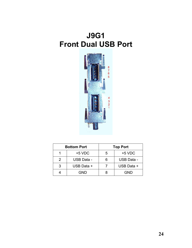### **J9G1 Front Dual USB Port**



|   | <b>Bottom Port</b> |    | <b>Top Port</b>   |
|---|--------------------|----|-------------------|
|   | $+5$ VDC           | 5  | $+5$ VDC          |
| 2 | USB Data -         | ิค | <b>USB Data -</b> |
| 3 | USB Data +         |    | USB Data +        |
|   | GND                |    | GND               |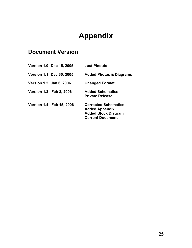### **Appendix**

### **Document Version**

| <b>Version 1.0 Dec 15, 2005</b> | <b>Just Pinouts</b>                                                                                           |
|---------------------------------|---------------------------------------------------------------------------------------------------------------|
| <b>Version 1.1 Dec 30, 2005</b> | <b>Added Photos &amp; Diagrams</b>                                                                            |
| <b>Version 1.2 Jan 6, 2006</b>  | <b>Changed Format</b>                                                                                         |
| <b>Version 1.3 Feb 2, 2006</b>  | <b>Added Schematics</b><br><b>Private Release</b>                                                             |
| <b>Version 1.4 Feb 15, 2006</b> | <b>Corrected Schematics</b><br><b>Added Appendix</b><br><b>Added Block Diagram</b><br><b>Current Document</b> |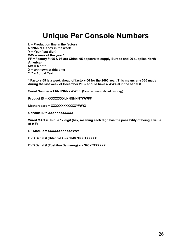### **Unique Per Console Numbers**

**L = Production line in the factory NNNNNN = Xbox in the week Y = Year (last digit) WW = week of the year \* FF = Factory # (05 & 06 are China, 05 appears to supply Europe and 06 supplies North America) MM = Month X = unknown at this time " " = Actual Text**

**\* Factory 05 is a week ahead of factory 06 for the 2005 year. This means any 360 made during the last week of December 2005 should have a WW=53 in the serial #.**

**Serial Number = LNNNNNNYWWFF (**Source: www.xbox-linux.org)

**Product ID = XXXXXXXXLNNNNNNYWWFF**

**Motherboard = XXXXXXXXXXXXYWWX**

**Console ID = XXXXXXXXXXXX**

**Wired MAC = Unique 12 digit (hex, meaning each digit has the possibility of being a value of 0-F)**

**RF Module = XXXXXXXXXXXYWW**

**DVD Serial # (Hitachi-LG) = YMM"HG"XXXXXX**

**DVD Serial # (Toshiba- Samsung) = X"RCY"XXXXXX**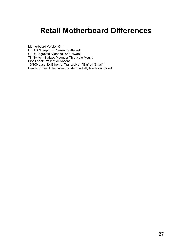### **Retail Motherboard Differences**

Motherboard Version 011 CPU SPI eeprom: Present or Absent CPU: Engraved "Canada" or "Taiwan" Tilt Switch: Surface Mount or Thru Hole Mount Bios Label: Present or Absent 10/100 base-TX Ethernet Transceiver: "Big" or "Small" Header Holes: Filled in with solder, partially filled or not filled.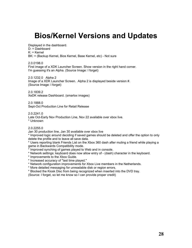### **Bios/Kernel Versions and Updates**

Displayed in the dashboard.

D: = Dashboard

 $K:$  = Kernel

BK: = (Backup Kernel, Bios Kernel, Base Kernel, etc) - Not sure

2.0.0198.0

First image of a XDK Launcher Screen. Show version in the right hand corner. I'm guessing it's an Alpha. (Source Image: I forget)

2.0.1232.0 Alpha 2 Image of a XDK Launcher Screen. Alpha 2 is displayed beside version #. (Source Image: I forget)

2.0.1839.2 XeDK release Dashboard. (smartxx images)

2.0.1888.0 Sept-Oct Production Line for Retail Release

2.0.2241.0

Late Oct-Early Nov Production Line, Nov 22 available over xbox live. \* Unknown

2.0.2255.0

Jan 30 production line, Jan 30 available over xbox live

\* Improved logic around deciding if saved games should be deleted and offer the option to only delete the profile and to leave all save data.

\* Users reporting blank Friends List on the Xbox 360 dash after muting a friend while playing a game in Backwards Compatibility mode.

\* Improved synching of games played to Web and in console.

\* Network settings: keyboard does now allow entry of - (dash) character in the keyboard.

\* Improvements to the Xbox Guide.

\* Increased accuracy of "last time played."

\* Network configuration improvements for Xbox Live members in the Netherlands.

\* More detailed messaging for unreadable disk or region errors.

\* Blocked the Kiosk Disc from being recognized when inserted into the DVD tray.

(Source: I forget, so let me know so I can provide proper credit)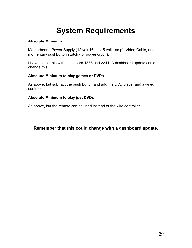### **System Requirements**

#### **Absolute Minimum**

Motherboard, Power Supply (12 volt 16amp, 5 volt 1amp), Video Cable, and a momentary pushbutton switch (for power on/off).

I have tested this with dashboard 1888 and 2241. A dashboard update could change this.

#### **Absolute Minimum to play games or DVDs**

As above, but subtract the push button and add the DVD player and a wired controller.

#### **Absolute Minimum to play just DVDs**

As above, but the remote can be used instead of the wire controller.

**Remember that this could change with a dashboard update.**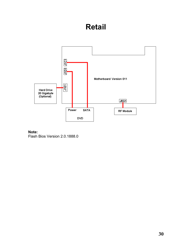### **Retail**



#### **Note:** Flash Bios Version 2.0.1888.0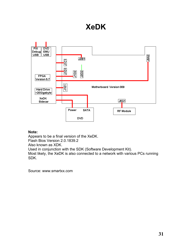### **XeDK**



#### **Note:**

Appears to be a final version of the XeDK. Flash Bios Version 2.0.1839.2 Also known as XDK. Used in conjunction with the SDK (Software Development Kit). Most likely, the XeDK is also connected to a network with various PCs running SDK.

Source: www.smartxx.com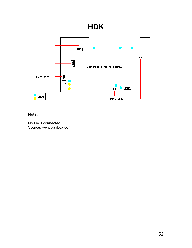### **HDK**



#### **Note:**

No DVD connected. Source: www.xavbox.com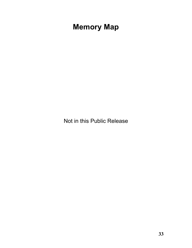### **Memory Map**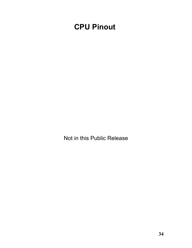### **CPU Pinout**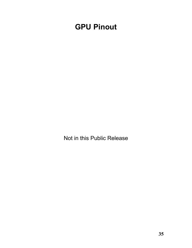### **GPU Pinout**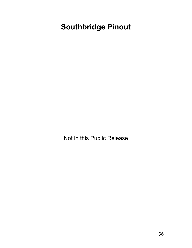### **Southbridge Pinout**